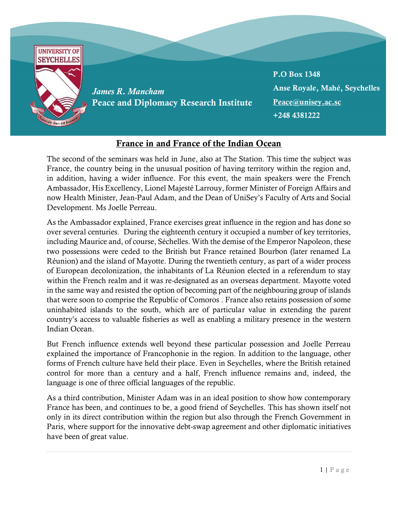

## France in and France of the Indian Ocean

The second of the seminars was held in June, also at The Station. This time the subject was France, the country being in the unusual position of having territory within the region and, in addition, having a wider influence. For this event, the main speakers were the French Ambassador, His Excellency, Lionel Majesté Larrouy, former Minister of Foreign Affairs and now Health Minister, Jean-Paul Adam, and the Dean of UniSey's Faculty of Arts and Social Development. Ms Joelle Perreau.

As the Ambassador explained, France exercises great influence in the region and has done so over several centuries. During the eighteenth century it occupied a number of key territories, including Maurice and, of course, Séchelles. With the demise of the Emperor Napoleon, these two possessions were ceded to the British but France retained Bourbon (later renamed La Réunion) and the island of Mayotte. During the twentieth century, as part of a wider process of European decolonization, the inhabitants of La Réunion elected in a referendum to stay within the French realm and it was re-designated as an overseas department. Mayotte voted in the same way and resisted the option of becoming part of the neighbouring group of islands that were soon to comprise the Republic of Comoros . France also retains possession of some uninhabited islands to the south, which are of particular value in extending the parent country's access to valuable fisheries as well as enabling a military presence in the western Indian Ocean.

But French influence extends well beyond these particular possession and Joelle Perreau explained the importance of Francophonie in the region. In addition to the language, other forms of French culture have held their place. Even in Seychelles, where the British retained control for more than a century and a half, French influence remains and, indeed, the language is one of three official languages of the republic.

As a third contribution, Minister Adam was in an ideal position to show how contemporary France has been, and continues to be, a good friend of Seychelles. This has shown itself not only in its direct contribution within the region but also through the French Government in Paris, where support for the innovative debt-swap agreement and other diplomatic initiatives have been of great value.